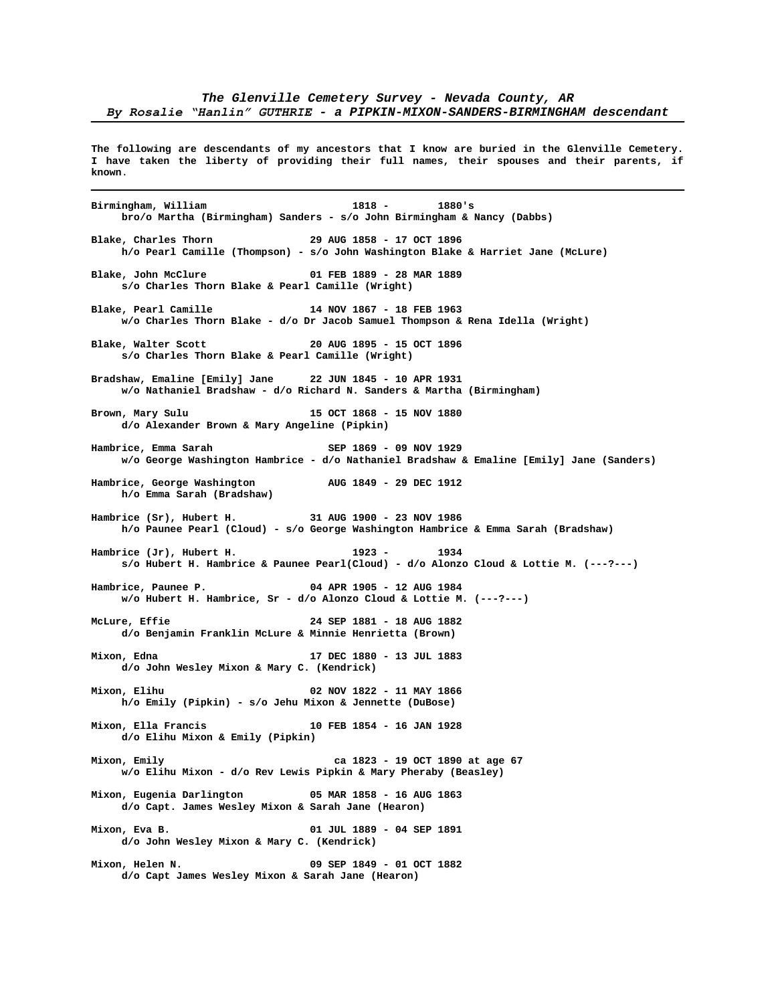**The following are descendants of my ancestors that I know are buried in the Glenville Cemetery. I have taken the liberty of providing their full names, their spouses and their parents, if known**.

**Birmingham, William 1818 - 1880's bro/o Martha (Birmingham) Sanders - s/o John Birmingham & Nancy (Dabbs) Blake, Charles Thorn 29 AUG 1858 - 17 OCT 1896 h/o Pearl Camille (Thompson) - s/o John Washington Blake & Harriet Jane (McLure) Blake, John McClure 01 FEB 1889 - 28 MAR 1889 s/o Charles Thorn Blake & Pearl Camille (Wright) Blake, Pearl Camille 14 NOV 1867 - 18 FEB 1963 w/o Charles Thorn Blake - d/o Dr Jacob Samuel Thompson & Rena Idella (Wright) Blake, Walter Scott 20 AUG 1895 - 15 OCT 1896 s/o Charles Thorn Blake & Pearl Camille (Wright) Bradshaw, Emaline [Emily] Jane 22 JUN 1845 - 10 APR 1931 w/o Nathaniel Bradshaw - d/o Richard N. Sanders & Martha (Birmingham) Brown, Mary Sulu 15 OCT 1868 - 15 NOV 1880 d/o Alexander Brown & Mary Angeline (Pipkin) Hambrice, Emma Sarah SEP 1869 - 09 NOV 1929 w/o George Washington Hambrice - d/o Nathaniel Bradshaw & Emaline [Emily] Jane (Sanders) Hambrice, George Washington AUG 1849 - 29 DEC 1912 h/o Emma Sarah (Bradshaw) Hambrice (Sr), Hubert H. 31 AUG 1900 - 23 NOV 1986 h/o Paunee Pearl (Cloud) - s/o George Washington Hambrice & Emma Sarah (Bradshaw) Hambrice (Jr), Hubert H. 1923 - 1934 s/o Hubert H. Hambrice & Paunee Pearl(Cloud) - d/o Alonzo Cloud & Lottie M. (---?---) Hambrice, Paunee P. 04 APR 1905 - 12 AUG 1984 w/o Hubert H. Hambrice, Sr - d/o Alonzo Cloud & Lottie M. (---?---) McLure, Effie 24 SEP 1881 - 18 AUG 1882 d/o Benjamin Franklin McLure & Minnie Henrietta (Brown) Mixon, Edna 17 DEC 1880 - 13 JUL 1883 d/o John Wesley Mixon & Mary C. (Kendrick) Mixon, Elihu 02 NOV 1822 - 11 MAY 1866 h/o Emily (Pipkin) - s/o Jehu Mixon & Jennette (DuBose) Mixon, Ella Francis 10 FEB 1854 - 16 JAN 1928 d/o Elihu Mixon & Emily (Pipkin) Mixon, Emily ca 1823 - 19 OCT 1890 at age 67 w/o Elihu Mixon - d/o Rev Lewis Pipkin & Mary Pheraby (Beasley) Mixon, Eugenia Darlington 05 MAR 1858 - 16 AUG 1863 d/o Capt. James Wesley Mixon & Sarah Jane (Hearon) Mixon, Eva B. 01 JUL 1889 - 04 SEP 1891 d/o John Wesley Mixon & Mary C. (Kendrick) Mixon, Helen N. 09 SEP 1849 - 01 OCT 1882 d/o Capt James Wesley Mixon & Sarah Jane (Hearon)**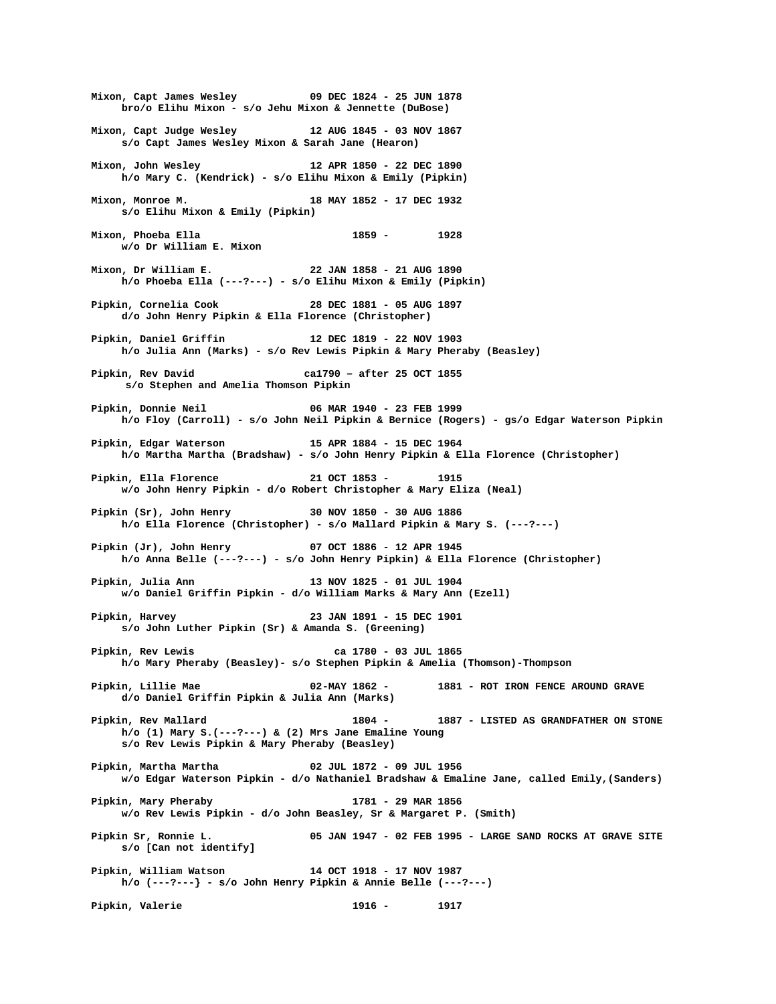**Mixon, Capt James Wesley 09 DEC 1824 - 25 JUN 1878 bro/o Elihu Mixon - s/o Jehu Mixon & Jennette (DuBose) Mixon, Capt Judge Wesley 12 AUG 1845 - 03 NOV 1867 s/o Capt James Wesley Mixon & Sarah Jane (Hearon) Mixon, John Wesley 12 APR 1850 - 22 DEC 1890 h/o Mary C. (Kendrick) - s/o Elihu Mixon & Emily (Pipkin) Mixon, Monroe M. 18 MAY 1852 - 17 DEC 1932 s/o Elihu Mixon & Emily (Pipkin) Mixon, Phoeba Ella 1859 - 1928 w/o Dr William E. Mixon Mixon, Dr William E. 22 JAN 1858 - 21 AUG 1890 h/o Phoeba Ella (---?---) - s/o Elihu Mixon & Emily (Pipkin) Pipkin, Cornelia Cook 28 DEC 1881 - 05 AUG 1897 d/o John Henry Pipkin & Ella Florence (Christopher) Pipkin, Daniel Griffin 12 DEC 1819 - 22 NOV 1903 h/o Julia Ann (Marks) - s/o Rev Lewis Pipkin & Mary Pheraby (Beasley) Pipkin, Rev David ca1790 – after 25 OCT 1855 s/o Stephen and Amelia Thomson Pipkin Pipkin, Donnie Neil 06 MAR 1940 - 23 FEB 1999 h/o Floy (Carroll) - s/o John Neil Pipkin & Bernice (Rogers) - gs/o Edgar Waterson Pipkin Pipkin, Edgar Waterson 15 APR 1884 - 15 DEC 1964 h/o Martha Martha (Bradshaw) - s/o John Henry Pipkin & Ella Florence (Christopher) Pipkin, Ella Florence 21 OCT 1853 - 1915 w/o John Henry Pipkin - d/o Robert Christopher & Mary Eliza (Neal) Pipkin (Sr), John Henry 30 NOV 1850 - 30 AUG 1886 h/o Ella Florence (Christopher) - s/o Mallard Pipkin & Mary S. (---?---) Pipkin (Jr), John Henry 07 OCT 1886 - 12 APR 1945 h/o Anna Belle (---?---) - s/o John Henry Pipkin) & Ella Florence (Christopher) Pipkin, Julia Ann 13 NOV 1825 - 01 JUL 1904 w/o Daniel Griffin Pipkin - d/o William Marks & Mary Ann (Ezell) Pipkin, Harvey 23 JAN 1891 - 15 DEC 1901 s/o John Luther Pipkin (Sr) & Amanda S. (Greening) Pipkin, Rev Lewis ca 1780 - 03 JUL 1865 h/o Mary Pheraby (Beasley)- s/o Stephen Pipkin & Amelia (Thomson)-Thompson Pipkin, Lillie Mae 02-MAY 1862 - 1881 - ROT IRON FENCE AROUND GRAVE d/o Daniel Griffin Pipkin & Julia Ann (Marks) Pipkin, Rev Mallard 1804 - 1887 - LISTED AS GRANDFATHER ON STONE h/o (1) Mary S.(---?---) & (2) Mrs Jane Emaline Young s/o Rev Lewis Pipkin & Mary Pheraby (Beasley) Pipkin, Martha Martha 02 JUL 1872 - 09 JUL 1956 w/o Edgar Waterson Pipkin - d/o Nathaniel Bradshaw & Emaline Jane, called Emily,(Sanders) Pipkin, Mary Pheraby 1781 - 29 MAR 1856 w/o Rev Lewis Pipkin - d/o John Beasley, Sr & Margaret P. (Smith) Pipkin Sr, Ronnie L. 05 JAN 1947 - 02 FEB 1995 - LARGE SAND ROCKS AT GRAVE SITE s/o [Can not identify] Pipkin, William Watson 14 OCT 1918 - 17 NOV 1987 h/o (---?---} - s/o John Henry Pipkin & Annie Belle (---?---) Pipkin, Valerie 1916 - 1917**